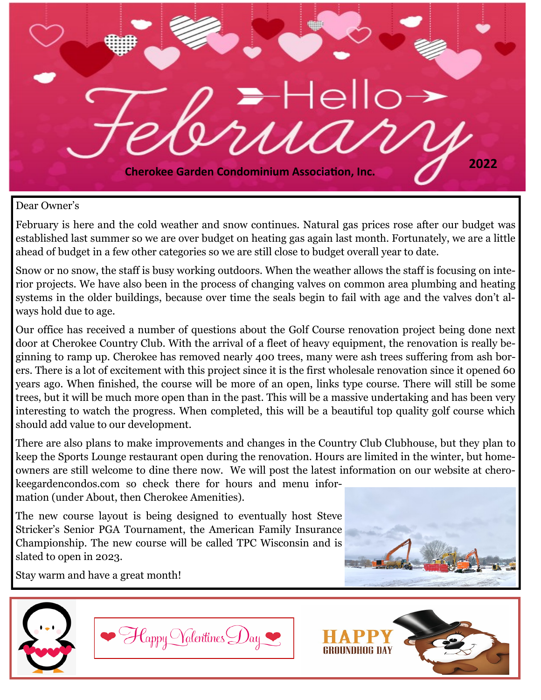

#### Dear Owner's

February is here and the cold weather and snow continues. Natural gas prices rose after our budget was established last summer so we are over budget on heating gas again last month. Fortunately, we are a little ahead of budget in a few other categories so we are still close to budget overall year to date.

Snow or no snow, the staff is busy working outdoors. When the weather allows the staff is focusing on interior projects. We have also been in the process of changing valves on common area plumbing and heating systems in the older buildings, because over time the seals begin to fail with age and the valves don't always hold due to age.

Our office has received a number of questions about the Golf Course renovation project being done next door at Cherokee Country Club. With the arrival of a fleet of heavy equipment, the renovation is really beginning to ramp up. Cherokee has removed nearly 400 trees, many were ash trees suffering from ash borers. There is a lot of excitement with this project since it is the first wholesale renovation since it opened 60 years ago. When finished, the course will be more of an open, links type course. There will still be some trees, but it will be much more open than in the past. This will be a massive undertaking and has been very interesting to watch the progress. When completed, this will be a beautiful top quality golf course which should add value to our development.

There are also plans to make improvements and changes in the Country Club Clubhouse, but they plan to keep the Sports Lounge restaurant open during the renovation. Hours are limited in the winter, but homeowners are still welcome to dine there now. We will post the latest information on our website at cherokeegardencondos.com so check there for hours and menu information (under About, then Cherokee Amenities).

The new course layout is being designed to eventually host Steve Stricker's Senior PGA Tournament, the American Family Insurance Championship. The new course will be called TPC Wisconsin and is slated to open in 2023.



Stay warm and have a great month!



Happy Valentines Day